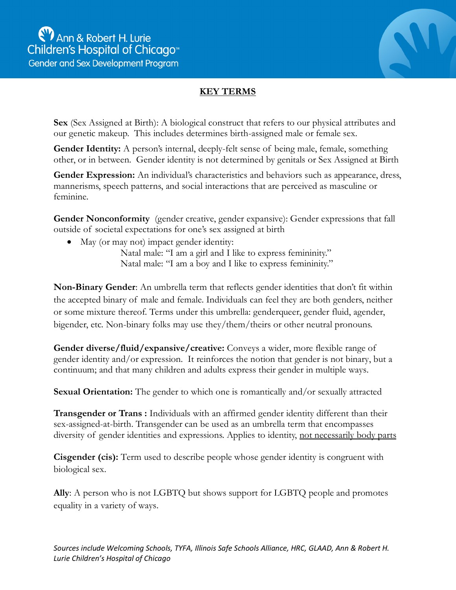

## **KEY TERMS**

**Sex** (Sex Assigned at Birth): A biological construct that refers to our physical attributes and our genetic makeup. This includes determines birth-assigned male or female sex.

Gender Identity: A person's internal, deeply-felt sense of being male, female, something other, or in between. Gender identity is not determined by genitals or Sex Assigned at Birth

**Gender Expression:** An individual's characteristics and behaviors such as appearance, dress, mannerisms, speech patterns, and social interactions that are perceived as masculine or feminine.

**Gender Nonconformity** (gender creative, gender expansive): Gender expressions that fall outside of societal expectations for one's sex assigned at birth

• May (or may not) impact gender identity:

Natal male: "I am a girl and I like to express femininity." Natal male: "I am a boy and I like to express femininity."

**Non-Binary Gender**: An umbrella term that reflects gender identities that don't fit within the accepted binary of male and female. Individuals can feel they are both genders, neither or some mixture thereof. Terms under this umbrella: genderqueer, gender fluid, agender, bigender, etc. Non-binary folks may use they/them/theirs or other neutral pronouns.

**Gender diverse/fluid/expansive/creative:** Conveys a wider, more flexible range of gender identity and/or expression. It reinforces the notion that gender is not binary, but a continuum; and that many children and adults express their gender in multiple ways.

**Sexual Orientation:** The gender to which one is romantically and/or sexually attracted

**Transgender or Trans :** Individuals with an affirmed gender identity different than their sex-assigned-at-birth. Transgender can be used as an umbrella term that encompasses diversity of gender identities and expressions. Applies to identity, not necessarily body parts

**Cisgender (cis):** Term used to describe people whose gender identity is congruent with biological sex.

**Ally**: A person who is not LGBTQ but shows support for LGBTQ people and promotes equality in a variety of ways.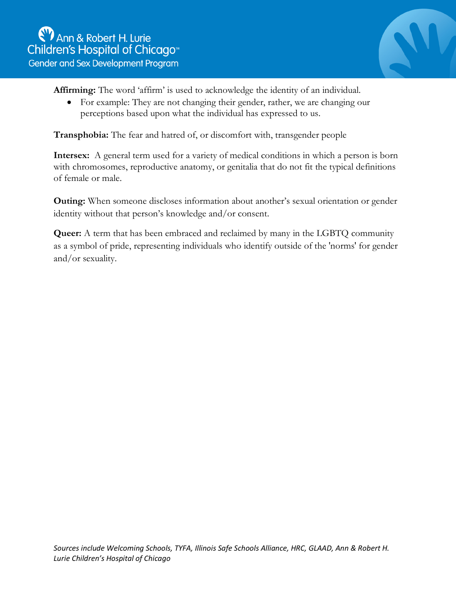

**Affirming:** The word 'affirm' is used to acknowledge the identity of an individual.

• For example: They are not changing their gender, rather, we are changing our perceptions based upon what the individual has expressed to us.

**Transphobia:** The fear and hatred of, or discomfort with, transgender people

**Intersex:** A general term used for a variety of medical conditions in which a person is born with chromosomes, reproductive anatomy, or genitalia that do not fit the typical definitions of female or male.

**Outing:** When someone discloses information about another's sexual orientation or gender identity without that person's knowledge and/or consent.

**Queer:** A term that has been embraced and reclaimed by many in the LGBTQ community as a symbol of pride, representing individuals who identify outside of the 'norms' for gender and/or sexuality.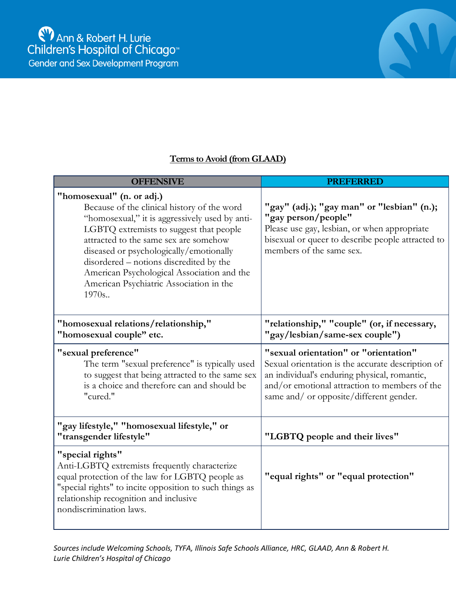

## **Terms to Avoid (from GLAAD)**

| <b>OFFENSIVE</b>                                                                                                                                                                                                                                                                                                                                                                                       | PREFERRED                                                                                                                                                                                                                              |
|--------------------------------------------------------------------------------------------------------------------------------------------------------------------------------------------------------------------------------------------------------------------------------------------------------------------------------------------------------------------------------------------------------|----------------------------------------------------------------------------------------------------------------------------------------------------------------------------------------------------------------------------------------|
| "homosexual" (n. or adj.)<br>Because of the clinical history of the word<br>"homosexual," it is aggressively used by anti-<br>LGBTQ extremists to suggest that people<br>attracted to the same sex are somehow<br>diseased or psychologically/emotionally<br>disordered – notions discredited by the<br>American Psychological Association and the<br>American Psychiatric Association in the<br>1970s | "gay" (adj.); "gay man" or "lesbian" (n.);<br>"gay person/people"<br>Please use gay, lesbian, or when appropriate<br>bisexual or queer to describe people attracted to<br>members of the same sex.                                     |
| "homosexual relations/relationship,"<br>"homosexual couple" etc.                                                                                                                                                                                                                                                                                                                                       | "relationship," "couple" (or, if necessary,<br>"gay/lesbian/same-sex couple")                                                                                                                                                          |
| "sexual preference"<br>The term "sexual preference" is typically used<br>to suggest that being attracted to the same sex<br>is a choice and therefore can and should be<br>"cured."                                                                                                                                                                                                                    | "sexual orientation" or "orientation"<br>Sexual orientation is the accurate description of<br>an individual's enduring physical, romantic,<br>and/or emotional attraction to members of the<br>same and/ or opposite/different gender. |
| "gay lifestyle," "homosexual lifestyle," or<br>"transgender lifestyle"                                                                                                                                                                                                                                                                                                                                 | "LGBTQ people and their lives"                                                                                                                                                                                                         |
| "special rights"<br>Anti-LGBTQ extremists frequently characterize<br>equal protection of the law for LGBTQ people as<br>"special rights" to incite opposition to such things as<br>relationship recognition and inclusive<br>nondiscrimination laws.                                                                                                                                                   | "equal rights" or "equal protection"                                                                                                                                                                                                   |